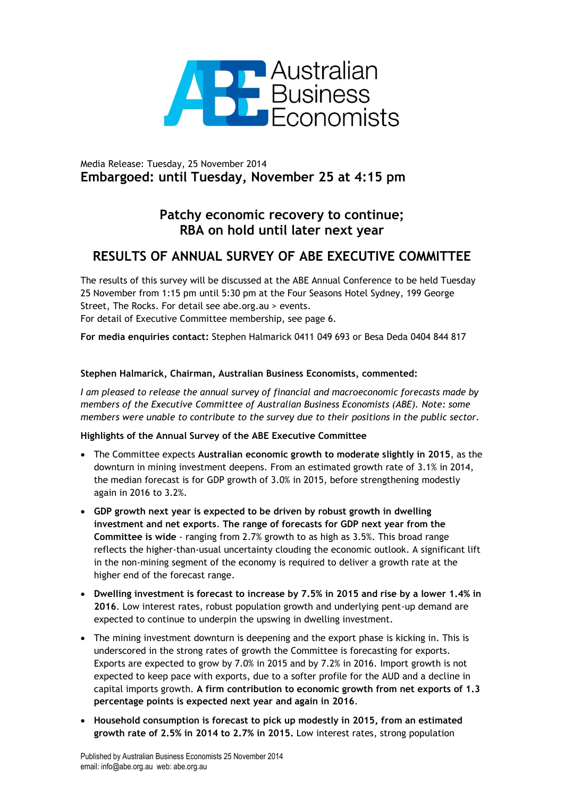

## Media Release: Tuesday, 25 November 2014 **Embargoed: until Tuesday, November 25 at 4:15 pm**

# **Patchy economic recovery to continue; RBA on hold until later next year**

# **RESULTS OF ANNUAL SURVEY OF ABE EXECUTIVE COMMITTEE**

The results of this survey will be discussed at the ABE Annual Conference to be held Tuesday 25 November from 1:15 pm until 5:30 pm at the Four Seasons Hotel Sydney, 199 George Street, The Rocks. For detail see abe.org.au > events. For detail of Executive Committee membership, see page 6.

**For media enquiries contact:** Stephen Halmarick 0411 049 693 or Besa Deda 0404 844 817

## **Stephen Halmarick, Chairman, Australian Business Economists, commented:**

*I am pleased to release the annual survey of financial and macroeconomic forecasts made by members of the Executive Committee of Australian Business Economists (ABE). Note: some members were unable to contribute to the survey due to their positions in the public sector.*

## **Highlights of the Annual Survey of the ABE Executive Committee**

- The Committee expects **Australian economic growth to moderate slightly in 2015**, as the downturn in mining investment deepens. From an estimated growth rate of 3.1% in 2014, the median forecast is for GDP growth of 3.0% in 2015, before strengthening modestly again in 2016 to 3.2%.
- **GDP growth next year is expected to be driven by robust growth in dwelling investment and net exports**. **The range of forecasts for GDP next year from the Committee is wide** - ranging from 2.7% growth to as high as 3.5%. This broad range reflects the higher-than-usual uncertainty clouding the economic outlook. A significant lift in the non-mining segment of the economy is required to deliver a growth rate at the higher end of the forecast range.
- **Dwelling investment is forecast to increase by 7.5% in 2015 and rise by a lower 1.4% in 2016**. Low interest rates, robust population growth and underlying pent-up demand are expected to continue to underpin the upswing in dwelling investment.
- The mining investment downturn is deepening and the export phase is kicking in. This is underscored in the strong rates of growth the Committee is forecasting for exports. Exports are expected to grow by 7.0% in 2015 and by 7.2% in 2016. Import growth is not expected to keep pace with exports, due to a softer profile for the AUD and a decline in capital imports growth. **A firm contribution to economic growth from net exports of 1.3 percentage points is expected next year and again in 2016**.
- **Household consumption is forecast to pick up modestly in 2015, from an estimated growth rate of 2.5% in 2014 to 2.7% in 2015.** Low interest rates, strong population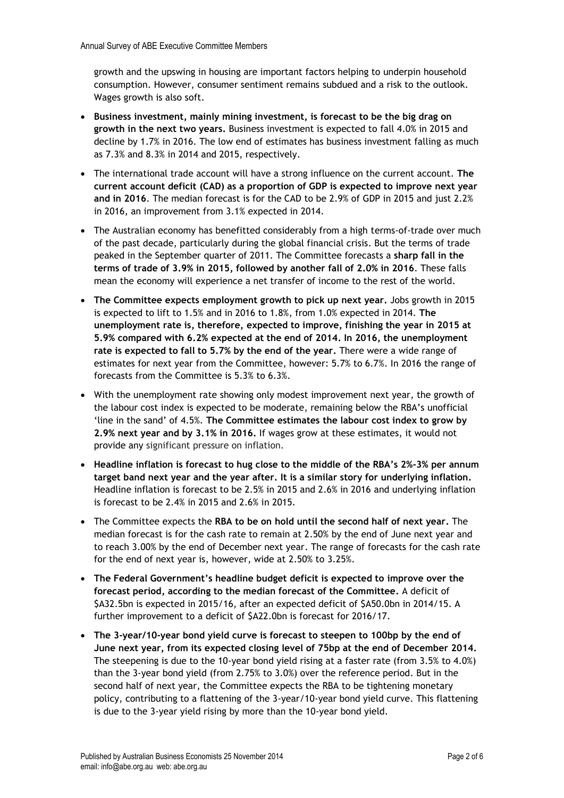growth and the upswing in housing are important factors helping to underpin household consumption. However, consumer sentiment remains subdued and a risk to the outlook. Wages growth is also soft.

- **Business investment, mainly mining investment, is forecast to be the big drag on growth in the next two years.** Business investment is expected to fall 4.0% in 2015 and decline by 1.7% in 2016. The low end of estimates has business investment falling as much as 7.3% and 8.3% in 2014 and 2015, respectively.
- The international trade account will have a strong influence on the current account. **The current account deficit (CAD) as a proportion of GDP is expected to improve next year and in 2016**. The median forecast is for the CAD to be 2.9% of GDP in 2015 and just 2.2% in 2016, an improvement from 3.1% expected in 2014.
- The Australian economy has benefitted considerably from a high terms-of-trade over much of the past decade, particularly during the global financial crisis. But the terms of trade peaked in the September quarter of 2011. The Committee forecasts a **sharp fall in the terms of trade of 3.9% in 2015, followed by another fall of 2.0% in 2016**. These falls mean the economy will experience a net transfer of income to the rest of the world.
- **The Committee expects employment growth to pick up next year.** Jobs growth in 2015 is expected to lift to 1.5% and in 2016 to 1.8%, from 1.0% expected in 2014. **The unemployment rate is, therefore, expected to improve, finishing the year in 2015 at 5.9% compared with 6.2% expected at the end of 2014. In 2016, the unemployment rate is expected to fall to 5.7% by the end of the year.** There were a wide range of estimates for next year from the Committee, however: 5.7% to 6.7%. In 2016 the range of forecasts from the Committee is 5.3% to 6.3%.
- With the unemployment rate showing only modest improvement next year, the growth of the labour cost index is expected to be moderate, remaining below the RBA's unofficial 'line in the sand' of 4.5%. **The Committee estimates the labour cost index to grow by 2.9% next year and by 3.1% in 2016.** If wages grow at these estimates, it would not provide any significant pressure on inflation.
- **Headline inflation is forecast to hug close to the middle of the RBA's 2%-3% per annum target band next year and the year after. It is a similar story for underlying inflation.** Headline inflation is forecast to be 2.5% in 2015 and 2.6% in 2016 and underlying inflation is forecast to be 2.4% in 2015 and 2.6% in 2015.
- The Committee expects the **RBA to be on hold until the second half of next year.** The median forecast is for the cash rate to remain at 2.50% by the end of June next year and to reach 3.00% by the end of December next year. The range of forecasts for the cash rate for the end of next year is, however, wide at 2.50% to 3.25%.
- **The Federal Government's headline budget deficit is expected to improve over the forecast period, according to the median forecast of the Committee.** A deficit of \$A32.5bn is expected in 2015/16, after an expected deficit of \$A50.0bn in 2014/15. A further improvement to a deficit of \$A22.0bn is forecast for 2016/17.
- **The 3-year/10-year bond yield curve is forecast to steepen to 100bp by the end of June next year, from its expected closing level of 75bp at the end of December 2014.** The steepening is due to the 10-year bond yield rising at a faster rate (from 3.5% to 4.0%) than the 3-year bond yield (from 2.75% to 3.0%) over the reference period. But in the second half of next year, the Committee expects the RBA to be tightening monetary policy, contributing to a flattening of the 3-year/10-year bond yield curve. This flattening is due to the 3-year yield rising by more than the 10-year bond yield.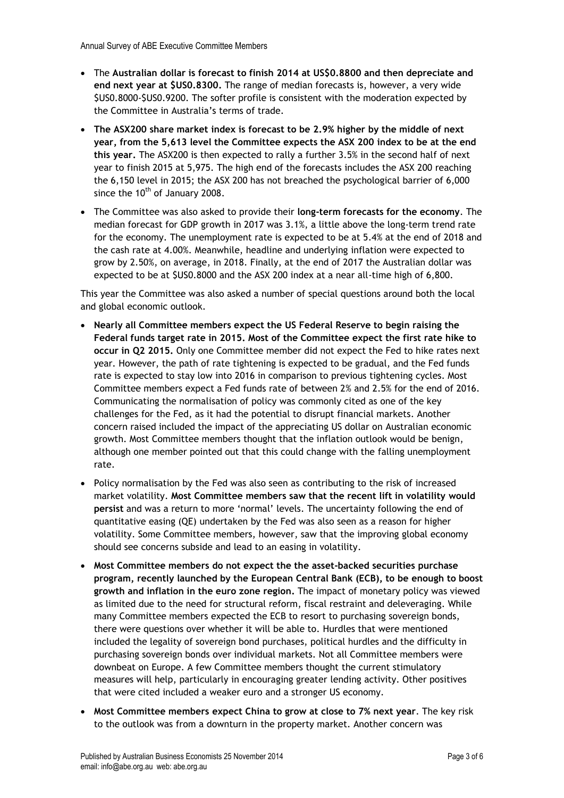- The **Australian dollar is forecast to finish 2014 at US\$0.8800 and then depreciate and end next year at \$US0.8300.** The range of median forecasts is, however, a very wide \$US0.8000-\$US0.9200. The softer profile is consistent with the moderation expected by the Committee in Australia's terms of trade.
- **The ASX200 share market index is forecast to be 2.9% higher by the middle of next year, from the 5,613 level the Committee expects the ASX 200 index to be at the end this year.** The ASX200 is then expected to rally a further 3.5% in the second half of next year to finish 2015 at 5,975. The high end of the forecasts includes the ASX 200 reaching the 6,150 level in 2015; the ASX 200 has not breached the psychological barrier of 6,000 since the  $10^{th}$  of January 2008.
- The Committee was also asked to provide their **long-term forecasts for the economy**. The median forecast for GDP growth in 2017 was 3.1%, a little above the long-term trend rate for the economy. The unemployment rate is expected to be at 5.4% at the end of 2018 and the cash rate at 4.00%. Meanwhile, headline and underlying inflation were expected to grow by 2.50%, on average, in 2018. Finally, at the end of 2017 the Australian dollar was expected to be at \$US0.8000 and the ASX 200 index at a near all-time high of 6,800.

This year the Committee was also asked a number of special questions around both the local and global economic outlook.

- **Nearly all Committee members expect the US Federal Reserve to begin raising the Federal funds target rate in 2015. Most of the Committee expect the first rate hike to occur in Q2 2015.** Only one Committee member did not expect the Fed to hike rates next year. However, the path of rate tightening is expected to be gradual, and the Fed funds rate is expected to stay low into 2016 in comparison to previous tightening cycles. Most Committee members expect a Fed funds rate of between 2% and 2.5% for the end of 2016. Communicating the normalisation of policy was commonly cited as one of the key challenges for the Fed, as it had the potential to disrupt financial markets. Another concern raised included the impact of the appreciating US dollar on Australian economic growth. Most Committee members thought that the inflation outlook would be benign, although one member pointed out that this could change with the falling unemployment rate.
- Policy normalisation by the Fed was also seen as contributing to the risk of increased market volatility. **Most Committee members saw that the recent lift in volatility would persist** and was a return to more 'normal' levels. The uncertainty following the end of quantitative easing (QE) undertaken by the Fed was also seen as a reason for higher volatility. Some Committee members, however, saw that the improving global economy should see concerns subside and lead to an easing in volatility.
- **Most Committee members do not expect the the asset-backed securities purchase program, recently launched by the European Central Bank (ECB), to be enough to boost growth and inflation in the euro zone region.** The impact of monetary policy was viewed as limited due to the need for structural reform, fiscal restraint and deleveraging. While many Committee members expected the ECB to resort to purchasing sovereign bonds, there were questions over whether it will be able to. Hurdles that were mentioned included the legality of sovereign bond purchases, political hurdles and the difficulty in purchasing sovereign bonds over individual markets. Not all Committee members were downbeat on Europe. A few Committee members thought the current stimulatory measures will help, particularly in encouraging greater lending activity. Other positives that were cited included a weaker euro and a stronger US economy.
- **Most Committee members expect China to grow at close to 7% next year**. The key risk to the outlook was from a downturn in the property market. Another concern was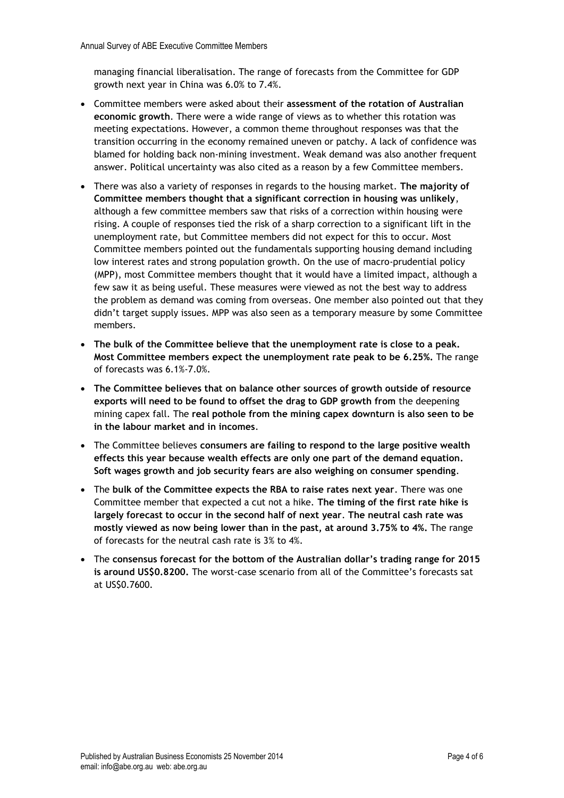managing financial liberalisation. The range of forecasts from the Committee for GDP growth next year in China was 6.0% to 7.4%.

- Committee members were asked about their **assessment of the rotation of Australian economic growth**. There were a wide range of views as to whether this rotation was meeting expectations. However, a common theme throughout responses was that the transition occurring in the economy remained uneven or patchy. A lack of confidence was blamed for holding back non-mining investment. Weak demand was also another frequent answer. Political uncertainty was also cited as a reason by a few Committee members.
- There was also a variety of responses in regards to the housing market. **The majority of Committee members thought that a significant correction in housing was unlikely**, although a few committee members saw that risks of a correction within housing were rising. A couple of responses tied the risk of a sharp correction to a significant lift in the unemployment rate, but Committee members did not expect for this to occur. Most Committee members pointed out the fundamentals supporting housing demand including low interest rates and strong population growth. On the use of macro-prudential policy (MPP), most Committee members thought that it would have a limited impact, although a few saw it as being useful. These measures were viewed as not the best way to address the problem as demand was coming from overseas. One member also pointed out that they didn't target supply issues. MPP was also seen as a temporary measure by some Committee members.
- **The bulk of the Committee believe that the unemployment rate is close to a peak. Most Committee members expect the unemployment rate peak to be 6.25%.** The range of forecasts was 6.1%-7.0%.
- **The Committee believes that on balance other sources of growth outside of resource exports will need to be found to offset the drag to GDP growth from** the deepening mining capex fall. The **real pothole from the mining capex downturn is also seen to be in the labour market and in incomes**.
- The Committee believes **consumers are failing to respond to the large positive wealth effects this year because wealth effects are only one part of the demand equation. Soft wages growth and job security fears are also weighing on consumer spending**.
- The **bulk of the Committee expects the RBA to raise rates next year**. There was one Committee member that expected a cut not a hike. **The timing of the first rate hike is largely forecast to occur in the second half of next year**. **The neutral cash rate was mostly viewed as now being lower than in the past, at around 3.75% to 4%.** The range of forecasts for the neutral cash rate is 3% to 4%.
- The **consensus forecast for the bottom of the Australian dollar's trading range for 2015 is around US\$0.8200.** The worst-case scenario from all of the Committee's forecasts sat at US\$0.7600.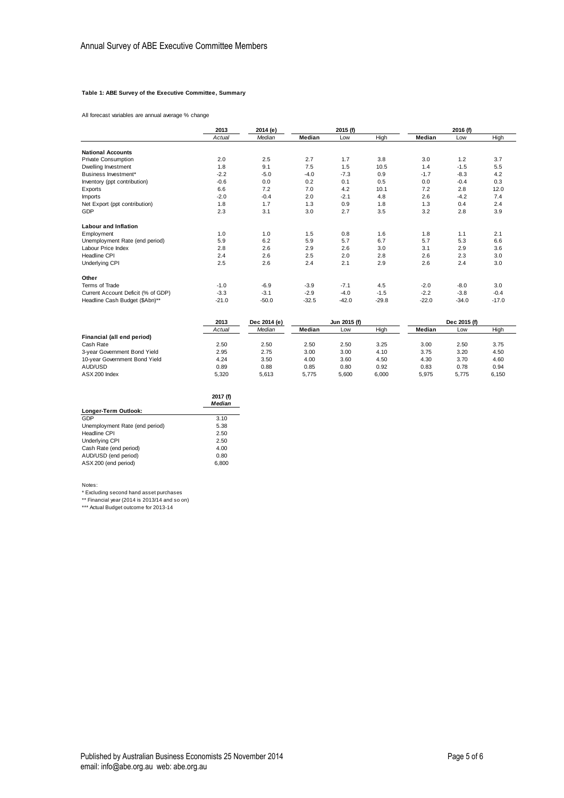#### **Table 1: ABE Survey of the Executive Committee, Summary**

All forecast variables are annual average % change

|                                    | 2013    | 2014 (e)     | 2015 (f) |              |         | 2016 (f) |              |         |
|------------------------------------|---------|--------------|----------|--------------|---------|----------|--------------|---------|
|                                    | Actual  | Median       | Median   | Low          | High    | Median   | Low          | High    |
| <b>National Accounts</b>           |         |              |          |              |         |          |              |         |
| <b>Private Consumption</b>         | 2.0     | 2.5          | 2.7      | 1.7          | 3.8     | 3.0      | 1.2          | 3.7     |
| Dwelling Investment                | 1.8     | 9.1          | 7.5      | 1.5          | 10.5    | 1.4      | $-1.5$       | 5.5     |
| Business Investment*               | $-2.2$  | $-5.0$       | $-4.0$   | $-7.3$       | 0.9     | $-1.7$   | $-8.3$       | 4.2     |
| Inventory (ppt contribution)       | $-0.6$  | 0.0          | 0.2      | 0.1          | 0.5     | 0.0      | $-0.4$       | 0.3     |
| Exports                            | 6.6     | 7.2          | 7.0      | 4.2          | 10.1    | 7.2      | 2.8          | 12.0    |
| <b>Imports</b>                     | $-2.0$  | $-0.4$       | 2.0      | $-2.1$       | 4.8     | 2.6      | $-4.2$       | 7.4     |
| Net Export (ppt contribution)      | 1.8     | 1.7          | 1.3      | 0.9          | 1.8     | 1.3      | 0.4          | 2.4     |
| GDP                                | 2.3     | 3.1          | 3.0      | 2.7          | 3.5     | 3.2      | 2.8          | 3.9     |
| Labour and Inflation               |         |              |          |              |         |          |              |         |
| Employment                         | 1.0     | 1.0          | 1.5      | 0.8          | 1.6     | 1.8      | 1.1          | 2.1     |
| Unemployment Rate (end period)     | 5.9     | 6.2          | 5.9      | 5.7          | 6.7     | 5.7      | 5.3          | 6.6     |
| Labour Price Index                 | 2.8     | 2.6          | 2.9      | 2.6          | 3.0     | 3.1      | 2.9          | 3.6     |
| Headline CPI                       | 2.4     | 2.6          | 2.5      | 2.0          | 2.8     | 2.6      | 2.3          | 3.0     |
| Underlying CPI                     | 2.5     | 2.6          | 2.4      | 2.1          | 2.9     | 2.6      | 2.4          | 3.0     |
| Other                              |         |              |          |              |         |          |              |         |
| Terms of Trade                     | $-1.0$  | $-6.9$       | $-3.9$   | $-7.1$       | 4.5     | $-2.0$   | $-8.0$       | 3.0     |
| Current Account Deficit (% of GDP) | $-3.3$  | $-3.1$       | $-2.9$   | $-4.0$       | $-1.5$  | $-2.2$   | $-3.8$       | $-0.4$  |
| Headline Cash Budget (\$Abn)**     | $-21.0$ | $-50.0$      | $-32.5$  | $-42.0$      | $-29.8$ | $-22.0$  | $-34.0$      | $-17.0$ |
|                                    | 2013    | Dec 2014 (e) |          | Jun 2015 (f) |         |          | Dec 2015 (f) |         |

|                               |        |        |        |       | ------- |        |       |       |
|-------------------------------|--------|--------|--------|-------|---------|--------|-------|-------|
|                               | Actual | Median | Median | Low   | High    | Median | Low   | High  |
| Financial (all end period)    |        |        |        |       |         |        |       |       |
| Cash Rate                     | 2.50   | 2.50   | 2.50   | 2.50  | 3.25    | 3.00   | 2.50  | 3.75  |
| 3-year Government Bond Yield  | 2.95   | 2.75   | 3.00   | 3.00  | 4.10    | 3.75   | 3.20  | 4.50  |
| 10-year Government Bond Yield | 4.24   | 3.50   | 4.00   | 3.60  | 4.50    | 4.30   | 3.70  | 4.60  |
| AUD/USD                       | 0.89   | 0.88   | 0.85   | 0.80  | 0.92    | 0.83   | 0.78  | 0.94  |
| ASX 200 Index                 | 5.320  | 5.613  | 5.775  | 5.600 | 6.000   | 5.975  | 5.775 | 6.150 |

|                                | 2017 (f)<br><b>Median</b> |
|--------------------------------|---------------------------|
| Longer-Term Outlook:           |                           |
| GDP                            | 3.10                      |
| Unemployment Rate (end period) | 5.38                      |
| Headline CPI                   | 2.50                      |
| Underlying CPI                 | 2.50                      |
| Cash Rate (end period)         | 4.00                      |
| AUD/USD (end period)           | 0.80                      |
| ASX 200 (end period)           | 6.800                     |

Notes: \* Excluding second hand asset purchases \*\* Financial year (2014 is 2013/14 and so on) \*\*\* Actual Budget outcome for 2013-14